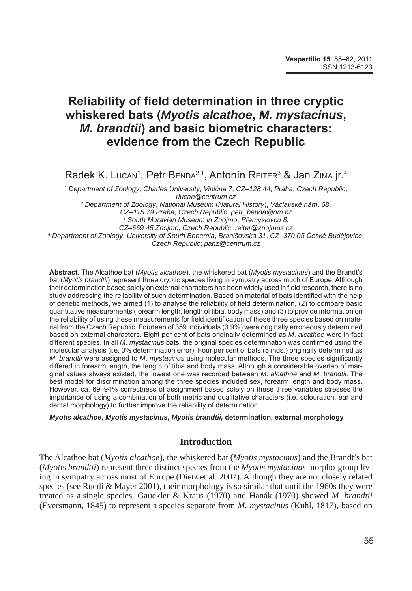# **Reliability of field determination in three cryptic whiskered bats (***Myotis alcathoe***,** *M. mystacinus***,**  *M. brandtii***) and basic biometric characters: evidence from the Czech Republic**

Radek K. Lučan<sup>1</sup>, Petr Benpa<sup>2,1</sup>, Antonín Reiter<sup>3</sup> & Jan Zima jr.<sup>4</sup>

<sup>1</sup> *Department of Zoology*, *Charles University*, *Viničná 7*, *CZ*–*128 44*, *Praha*, *Czech Republic*; *rlucan@centrum*.*cz*

<sup>2</sup> *Department of Zoology*, *National Museum* (*Natural History*), *Václavské nám*. *68*,

*CZ*–*115 79 Praha*, *Czech Republic*; *petr\_benda@nm*.*cz* 

<sup>3</sup> *South Moravian Museum in Znojmo*, *Přemyslovců 8*,

*CZ*–*669 45 Znojmo*, *Czech Republic*; *reiter@znojmuz*.*cz*

<sup>4</sup> *Department of Zoology*, *University of South Bohemia*, *Branišovská 31*, *CZ*–*370 05 České Budějovice*, *Czech Republic*; *panz@centrum*.*cz*

**Abstract**. The Alcathoe bat (*Myotis alcathoe*), the whiskered bat (*Myotis mystacinus*) and the Brandt's bat (*Myotis brandtii*) represent three cryptic species living in sympatry across much of Europe. Although their determination based solely on external characters has been widely used in field research, there is no study addressing the reliability of such determination. Based on material of bats identified with the help of genetic methods, we aimed (1) to analyse the reliability of field determination, (2) to compare basic quantitative measurements (forearm length, length of tibia, body mass) and (3) to provide information on the reliability of using these measurements for field identification of these three species based on material from the Czech Republic. Fourteen of 359 individuals (3.9%) were originally erroneously determined based on external characters. Eight per cent of bats originally determined as *M*. *alcathoe* were in fact different species. In all *M*. *mystacinus* bats, the original species determination was confirmed using the molecular analysis (i.e. 0% determination error). Four per cent of bats (5 inds.) originally determined as *M*. *brandtii* were assigned to *M*. *mystacinus* using molecular methods. The three species significantly differed in forearm length, the length of tibia and body mass. Although a considerable overlap of marginal values always existed, the lowest one was recorded between *M*. *alcathoe* and *M*. *brandtii*. The best model for discrimination among the three species included sex, forearm length and body mass. However, ca. 69–94% correctness of assignment based solely on these three variables stresses the importance of using a combination of both metric and qualitative characters (i.e. colouration, ear and dental morphology) to further improve the reliability of determination.

*Myotis alcathoe***,** *Myotis mystacinus***,** *Myotis brandtii,* **determination, external morphology**

## **Introduction**

The Alcathoe bat (*Myotis alcathoe*), the whiskered bat (*Myotis mystacinus*) and the Brandt's bat (*Myotis brandtii*) represent three distinct species from the *Myotis mystacinus* morpho-group living in sympatry across most of Europe (Dietz et al. 2007). Although they are not closely related species (see Ruedi & Mayer 2001), their morphology is so similar that until the 1960s they were treated as a single species. Gauckler & Kraus (1970) and Hanák (1970) showed *M*. *brandtii* (Eversmann, 1845) to represent a species separate from *M*. *mystacinus* (Kuhl, 1817), based on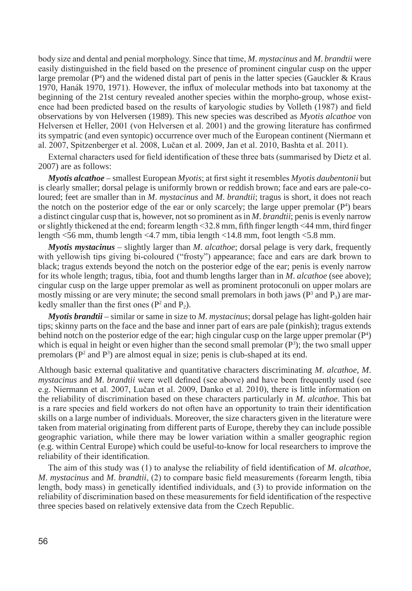body size and dental and penial morphology. Since that time, *M*. *mystacinus* and *M*. *brandtii* were easily distinguished in the field based on the presence of prominent cingular cusp on the upper large premolar  $(P^4)$  and the widened distal part of penis in the latter species (Gauckler & Kraus 1970, Hanák 1970, 1971). However, the influx of molecular methods into bat taxonomy at the beginning of the 21st century revealed another species within the morpho-group, whose existence had been predicted based on the results of karyologic studies by Volleth (1987) and field observations by von Helversen (1989). This new species was described as *Myotis alcathoe* von Helversen et Heller, 2001 (von Helversen et al. 2001) and the growing literature has confirmed its sympatric (and even syntopic) occurrence over much of the European continent (Niermann et al. 2007, Spitzenberger et al. 2008, Lučan et al. 2009, Jan et al. 2010, Bashta et al. 2011).

External characters used for field identification of these three bats (summarised by Dietz et al. 2007) are as follows:

*Myotis alcathoe* – smallest European *Myotis*; at first sight it resembles *Myotis daubentonii* but is clearly smaller; dorsal pelage is uniformly brown or reddish brown; face and ears are pale-coloured; feet are smaller than in *M*. *mystacinus* and *M*. *brandtii*; tragus is short, it does not reach the notch on the posterior edge of the ear or only scarcely; the large upper premolar  $(P^4)$  bears a distinct cingular cusp that is, however, not so prominent as in *M*. *brandtii*; penis is evenly narrow or slightly thickened at the end; forearm length <32.8 mm, fifth finger length <44 mm, third finger length <56 mm, thumb length <4.7 mm, tibia length <14.8 mm, foot length <5.8 mm.

*Myotis mystacinus* – slightly larger than *M*. *alcathoe*; dorsal pelage is very dark, frequently with yellowish tips giving bi-coloured ("frosty") appearance; face and ears are dark brown to black; tragus extends beyond the notch on the posterior edge of the ear; penis is evenly narrow for its whole length; tragus, tibia, foot and thumb lengths larger than in *M*. *alcathoe* (see above); cingular cusp on the large upper premolar as well as prominent protoconuli on upper molars are mostly missing or are very minute; the second small premolars in both jaws ( $P^3$  and  $P_3$ ) are markedly smaller than the first ones  $(P^2 \text{ and } P_2)$ .

*Myotis brandtii* – similar or same in size to *M*. *mystacinus*; dorsal pelage has light-golden hair tips; skinny parts on the face and the base and inner part of ears are pale (pinkish); tragus extends behind notch on the posterior edge of the ear; high cingular cusp on the large upper premolar  $(P^4)$ which is equal in height or even higher than the second small premolar  $(P^3)$ ; the two small upper premolars ( $P^2$  and  $P^3$ ) are almost equal in size; penis is club-shaped at its end.

Although basic external qualitative and quantitative characters discriminating *M*. *alcathoe*, *M*. *mystacinus* and *M*. *brandtii* were well defined (see above) and have been frequently used (see e.g. Niermann et al. 2007, Lučan et al. 2009, Danko et al. 2010), there is little information on the reliability of discrimination based on these characters particularly in *M*. *alcathoe*. This bat is a rare species and field workers do not often have an opportunity to train their identification skills on a large number of individuals. Moreover, the size characters given in the literature were taken from material originating from different parts of Europe, thereby they can include possible geographic variation, while there may be lower variation within a smaller geographic region (e.g. within Central Europe) which could be useful-to-know for local researchers to improve the reliability of their identification.

The aim of this study was (1) to analyse the reliability of field identification of *M*. *alcathoe*, *M*. *mystacinus* and *M*. *brandtii*, (2) to compare basic field measurements (forearm length, tibia length, body mass) in genetically identified individuals, and (3) to provide information on the reliability of discrimination based on these measurements for field identification of the respective three species based on relatively extensive data from the Czech Republic.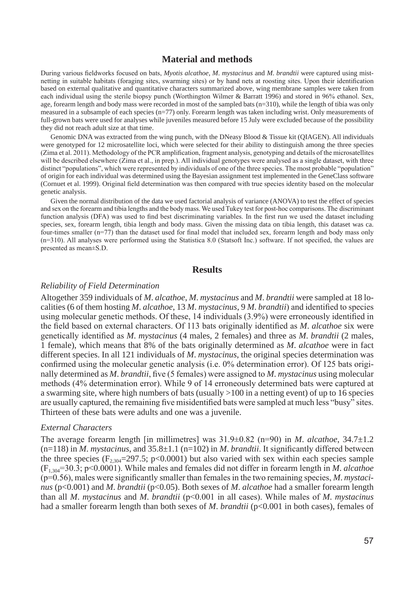### **Material and methods**

During various fieldworks focused on bats, *Myotis alcathoe*, *M*. *mystacinus* and *M*. *brandtii* were captured using mistnetting in suitable habitats (foraging sites, swarming sites) or by hand nets at roosting sites. Upon their identification based on external qualitative and quantitative characters summarized above, wing membrane samples were taken from each individual using the sterile biopsy punch (Worthington Wilmer & Barratt 1996) and stored in 96% ethanol. Sex, age, forearm length and body mass were recorded in most of the sampled bats  $(n=310)$ , while the length of tibia was only measured in a subsample of each species (n=77) only. Forearm length was taken including wrist. Only measurements of full-grown bats were used for analyses while juveniles measured before 15 July were excluded because of the possibility they did not reach adult size at that time.

Genomic DNA was extracted from the wing punch, with the DNeasy Blood & Tissue kit (QIAGEN). All individuals were genotyped for 12 microsatellite loci, which were selected for their ability to distinguish among the three species (Zima et al. 2011). Methodology of the PCR amplification, fragment analysis, genotyping and details of the microsatellites will be described elsewhere (Zima et al., in prep.). All individual genotypes were analysed as a single dataset, with three distinct "populations", which were represented by individuals of one of the three species. The most probable "population" of origin for each individual was determined using the Bayesian assignment test implemented in the GeneClass software (Cornuet et al. 1999). Original field determination was then compared with true species identity based on the molecular genetic analysis.

Given the normal distribution of the data we used factorial analysis of variance (ANOVA) to test the effect of species and sex on the forearm and tibia lengths and the body mass. We used Tukey test for post-hoc comparisons. The discriminant function analysis (DFA) was used to find best discriminating variables. In the first run we used the dataset including species, sex, forearm length, tibia length and body mass. Given the missing data on tibia length, this dataset was ca. four-times smaller (n=77) than the dataset used for final model that included sex, forearm length and body mass only (n=310). All analyses were performed using the Statistica 8.0 (Statsoft Inc.) software. If not specified, the values are presented as mean±S.D.

#### **Results**

#### *Reliability of Field Determination*

Altogether 359 individuals of *M*. *alcathoe*, *M*. *mystacinus* and *M*. *brandtii* were sampled at 18 localities (6 of them hosting *M*. *alcathoe*, 13 *M*. *mystacinus*, 9 *M*. *brandtii*) and identified to species using molecular genetic methods. Of these, 14 individuals (3.9%) were erroneously identified in the field based on external characters. Of 113 bats originally identified as *M*. *alcathoe* six were genetically identified as *M*. *mystacinus* (4 males, 2 females) and three as *M*. *brandtii* (2 males, 1 female), which means that 8% of the bats originally determined as *M*. *alcathoe* were in fact different species. In all 121 individuals of *M*. *mystacinus*, the original species determination was confirmed using the molecular genetic analysis (i.e. 0% determination error). Of 125 bats originally determined as *M*. *brandtii*, five (5 females) were assigned to *M*. *mystacinus* using molecular methods (4% determination error). While 9 of 14 erroneously determined bats were captured at a swarming site, where high numbers of bats (usually  $>100$  in a netting event) of up to 16 species are usually captured, the remaining five misidentified bats were sampled at much less "busy" sites. Thirteen of these bats were adults and one was a juvenile.

#### *External Characters*

The average forearm length [in millimetres] was 31.9±0.82 (n=90) in *M*. *alcathoe*, 34.7±1.2  $(n=118)$  in *M. mystacinus*, and  $35.8\pm1.1$   $(n=102)$  in *M. brandtii.* It significantly differed between the three species ( $F_{2,304}$ =297.5; p<0.0001) but also varied with sex within each species sample (F1,304=30.3; p<0.0001). While males and females did not differ in forearm length in *M*. *alcathoe* (p=0.56), males were significantly smaller than females in the two remaining species, *M*. *mystacinus* (p<0.001) and *M*. *brandtii* (p<0.05). Both sexes of *M*. *alcathoe* had a smaller forearm length than all *M*. *mystacinus* and *M*. *brandtii* (p<0.001 in all cases). While males of *M*. *mystacinus* had a smaller forearm length than both sexes of *M*. *brandtii* (p<0.001 in both cases), females of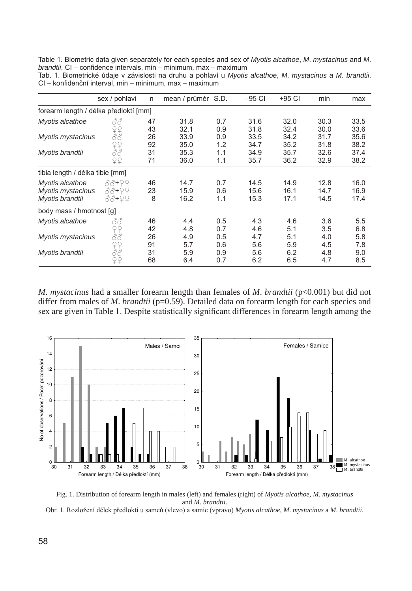Table 1. Biometric data given separately for each species and sex of *Myotis alcathoe*, *M*. *mystacinus* and *M*. *brandtii*. CI – confidence intervals, min – minimum, max – maximum

|                                       | sex / pohlaví | n  | mean / průměr S.D. |     | $-95$ CI | +95 CI | min  | max  |
|---------------------------------------|---------------|----|--------------------|-----|----------|--------|------|------|
| forearm length / délka předloktí [mm] |               |    |                    |     |          |        |      |      |
| Myotis alcathoe                       | 88            | 47 | 31.8               | 0.7 | 31.6     | 32.0   | 30.3 | 33.5 |
|                                       | 99            | 43 | 32.1               | 0.9 | 31.8     | 32.4   | 30.0 | 33.6 |
| Myotis mystacinus                     | 88            | 26 | 33.9               | 0.9 | 33.5     | 34.2   | 31.7 | 35.6 |
|                                       | 99            | 92 | 35.0               | 1.2 | 34.7     | 35.2   | 31.8 | 38.2 |
| Myotis brandtii                       | 88            | 31 | 35.3               | 1.1 | 34.9     | 35.7   | 32.6 | 37.4 |
|                                       | 99            | 71 | 36.0               | 1.1 | 35.7     | 36.2   | 32.9 | 38.2 |
| tibia length / délka tibie [mm]       |               |    |                    |     |          |        |      |      |
| Myotis alcathoe                       | 33+22         | 46 | 14.7               | 0.7 | 14.5     | 14.9   | 12.8 | 16.0 |
| Myotis mystacinus                     | 88+99         | 23 | 15.9               | 0.6 | 15.6     | 16.1   | 14.7 | 16.9 |
| Myotis brandtii                       | 88+99         | 8  | 16.2               | 1.1 | 15.3     | 17.1   | 14.5 | 17.4 |
| body mass / hmotnost [g]              |               |    |                    |     |          |        |      |      |
| Myotis alcathoe                       | 88            | 46 | 4.4                | 0.5 | 4.3      | 4.6    | 3.6  | 5.5  |
|                                       | 99            | 42 | 4.8                | 0.7 | 4.6      | 5.1    | 3.5  | 6.8  |
| Myotis mystacinus                     | 88            | 26 | 4.9                | 0.5 | 4.7      | 5.1    | 4.0  | 5.8  |
|                                       | 99            | 91 | 5.7                | 0.6 | 5.6      | 5.9    | 4.5  | 7.8  |
| Myotis brandtii                       | 88            | 31 | 5.9                | 0.9 | 5.6      | 6.2    | 4.8  | 9.0  |
|                                       | 99            | 68 | 6.4                | 0.7 | 6.2      | 6.5    | 4.7  | 8.5  |

Tab. 1. Biometrické údaje v závislosti na druhu a pohlaví u *Myotis alcathoe*, *M*. *mystacinus a M*. *brandtii*. CI – konfidenční interval, min – minimum, max – maximum

*M*. *mystacinus* had a smaller forearm length than females of *M*. *brandtii* (p<0.001) but did not differ from males of *M. brandtii* (p=0.59). Detailed data on forearm length for each species and sex are given in Table 1. Despite statistically significant differences in forearm length among the



Fig. 1. Distribution of forearm length in males (left) and females (right) of *Myotis alcathoe*, *M*. *mystacinus*  and *M*. *brandtii*.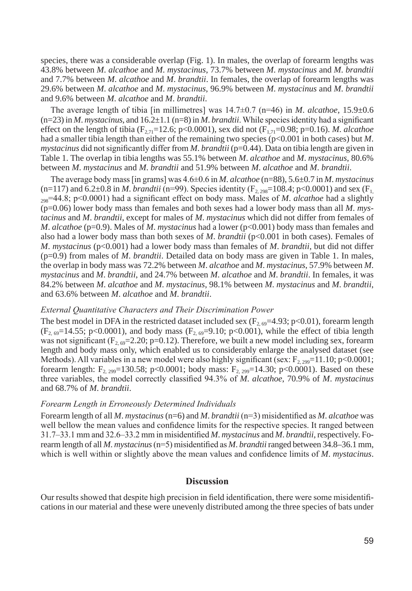species, there was a considerable overlap (Fig. 1). In males, the overlap of forearm lengths was 43.8% between *M*. *alcathoe* and *M*. *mystacinus*, 73.7% between *M*. *mystacinus* and *M*. *brandtii* and 7.7% between *M*. *alcathoe* and *M*. *brandtii*. In females, the overlap of forearm lengths was 29.6% between *M*. *alcathoe* and *M*. *mystacinus*, 96.9% between *M*. *mystacinus* and *M*. *brandtii* and 9.6% between *M*. *alcathoe* and *M*. *brandtii*.

The average length of tibia [in millimetres] was 14.7±0.7 (n=46) in *M*. *alcathoe*, 15.9±0.6 (n=23) in *M*. *mystacinus*, and 16.2±1.1 (n=8) in *M*. *brandtii*. While species identity had a significant effect on the length of tibia ( $F_{2,71}=12.6$ ; p<0.0001), sex did not ( $F_{1,71}=0.98$ ; p=0.16). *M.* alcathoe had a smaller tibia length than either of the remaining two species (p<0.001 in both cases) but *M*. *mystacinus* did not significantly differ from *M*. *brandtii* (p=0.44). Data on tibia length are given in Table 1. The overlap in tibia lengths was 55.1% between *M*. *alcathoe* and *M*. *mystacinus*, 80.6% between *M*. *mystacinus* and *M*. *brandtii* and 51.9% between *M*. *alcathoe* and *M*. *brandtii*.

The average body mass [in grams] was 4.6±0.6 in *M*. *alcathoe* (n=88), 5.6±0.7 in *M*. *mystacinus* (n=117) and 6.2±0.8 in *M. brandtii* (n=99). Species identity ( $F_{2,298}=108.4$ ; p<0.0001) and sex ( $F_1$ , <sup>298</sup>=44.8; p<0.0001) had a significant effect on body mass. Males of *M*. *alcathoe* had a slightly (p=0.06) lower body mass than females and both sexes had a lower body mass than all *M*. *mystacinus* and *M*. *brandtii*, except for males of *M*. *mystacinus* which did not differ from females of *M.* alcathoe (p=0.9). Males of *M. mystacinus* had a lower (p<0.001) body mass than females and also had a lower body mass than both sexes of *M*. *brandtii* (p<0.001 in both cases). Females of *M*. *mystacinus* (p<0.001) had a lower body mass than females of *M*. *brandtii*, but did not differ (p=0.9) from males of *M*. *brandtii*. Detailed data on body mass are given in Table 1. In males, the overlap in body mass was 72.2% between *M*. *alcathoe* and *M*. *mystacinus*, 57.9% between *M*. *mystacinus* and *M*. *brandtii*, and 24.7% between *M*. *alcathoe* and *M*. *brandtii*. In females, it was 84.2% between *M*. *alcathoe* and *M*. *mystacinus*, 98.1% between *M*. *mystacinus* and *M*. *brandtii*, and 63.6% between *M*. *alcathoe* and *M*. *brandtii*.

#### *External Quantitative Characters and Their Discrimination Power*

The best model in DFA in the restricted dataset included sex ( $F_{2.69}$ =4.93; p<0.01), forearm length  $(F_{2.69} = 14.55; p < 0.0001)$ , and body mass  $(F_{2.69} = 9.10; p < 0.001)$ , while the effect of tibia length was not significant ( $F_{2.69}$ =2.20; p=0.12). Therefore, we built a new model including sex, forearm length and body mass only, which enabled us to considerably enlarge the analysed dataset (see Methods). All variables in a new model were also highly significant (sex:  $F_{2, 299}$ =11.10; p<0.0001; forearm length:  $F_{2, 299}$ =130.58; p<0.0001; body mass:  $F_{2, 299}$ =14.30; p<0.0001). Based on these three variables, the model correctly classified 94.3% of *M*. *alcathoe*, 70.9% of *M*. *mystacinus* and 68.7% of *M*. *brandtii*.

#### *Forearm Length in Erroneously Determined Individuals*

Forearm length of all *M*. *mystacinus* (n=6) and *M*. *brandtii* (n=3) misidentified as *M*. *alcathoe* was well bellow the mean values and confidence limits for the respective species. It ranged between 31.7–33.1 mm and 32.6–33.2 mm in misidentified *M*. *mystacinus* and *M*. *brandtii*, respectively. Forearm length of all *M*. *mystacinus* (n=5) misidentified as *M*. *brandtii* ranged between 34.8–36.1 mm, which is well within or slightly above the mean values and confidence limits of *M*. *mystacinus*.

## **Discussion**

Our results showed that despite high precision in field identification, there were some misidentifications in our material and these were unevenly distributed among the three species of bats under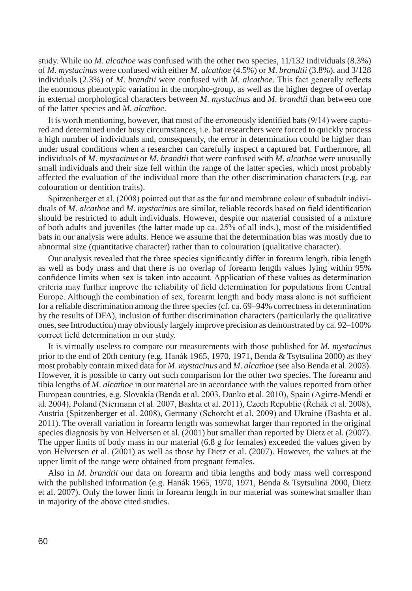study. While no *M*. *alcathoe* was confused with the other two species, 11/132 individuals (8.3%) of *M*. *mystacinus* were confused with either *M*. *alcathoe* (4.5%) or *M*. *brandtii* (3.8%), and 3/128 individuals (2.3%) of *M*. *brandtii* were confused with *M*. *alcathoe*. This fact generally reflects the enormous phenotypic variation in the morpho-group, as well as the higher degree of overlap in external morphological characters between *M*. *mystacinus* and *M*. *brandtii* than between one of the latter species and *M*. *alcathoe*.

It is worth mentioning, however, that most of the erroneously identified bats (9/14) were captured and determined under busy circumstances, i.e. bat researchers were forced to quickly process a high number of individuals and, consequently, the error in determination could be higher than under usual conditions when a researcher can carefully inspect a captured bat. Furthermore, all individuals of *M*. *mystacinus* or *M*. *brandtii* that were confused with *M*. *alcathoe* were unusually small individuals and their size fell within the range of the latter species, which most probably affected the evaluation of the individual more than the other discrimination characters (e.g. ear colouration or dentition traits).

Spitzenberger et al. (2008) pointed out that as the fur and membrane colour of subadult individuals of *M*. *alcathoe* and *M*. *mystacinus* are similar, reliable records based on field identification should be restricted to adult individuals. However, despite our material consisted of a mixture of both adults and juveniles (the latter made up ca. 25% of all inds.), most of the misidentified bats in our analysis were adults. Hence we assume that the determination bias was mostly due to abnormal size (quantitative character) rather than to colouration (qualitative character).

Our analysis revealed that the three species significantly differ in forearm length, tibia length as well as body mass and that there is no overlap of forearm length values lying within 95% confidence limits when sex is taken into account. Application of these values as determination criteria may further improve the reliability of field determination for populations from Central Europe. Although the combination of sex, forearm length and body mass alone is not sufficient for a reliable discrimination among the three species (cf. ca. 69–94% correctness in determination by the results of DFA), inclusion of further discrimination characters (particularly the qualitative ones, see Introduction) may obviously largely improve precision as demonstrated by ca. 92–100% correct field determination in our study.

It is virtually useless to compare our measurements with those published for *M*. *mystacinus* prior to the end of 20th century (e.g. Hanák 1965, 1970, 1971, Benda & Tsytsulina 2000) as they most probably contain mixed data for *M*. *mystacinus* and *M*. *alcathoe* (see also Benda et al. 2003). However, it is possible to carry out such comparison for the other two species. The forearm and tibia lengths of *M*. *alcathoe* in our material are in accordance with the values reported from other European countries, e.g. Slovakia (Benda et al. 2003, Danko et al. 2010), Spain (Agirre-Mendi et al. 2004), Poland (Niermann et al. 2007, Bashta et al. 2011), Czech Republic (Řehák et al. 2008), Austria (Spitzenberger et al. 2008), Germany (Schorcht et al. 2009) and Ukraine (Bashta et al. 2011). The overall variation in forearm length was somewhat larger than reported in the original species diagnosis by von Helversen et al. (2001) but smaller than reported by Dietz et al. (2007). The upper limits of body mass in our material (6.8 g for females) exceeded the values given by von Helversen et al. (2001) as well as those by Dietz et al. (2007). However, the values at the upper limit of the range were obtained from pregnant females.

Also in *M*. *brandtii* our data on forearm and tibia lengths and body mass well correspond with the published information (e.g. Hanák 1965, 1970, 1971, Benda & Tsytsulina 2000, Dietz et al. 2007). Only the lower limit in forearm length in our material was somewhat smaller than in majority of the above cited studies.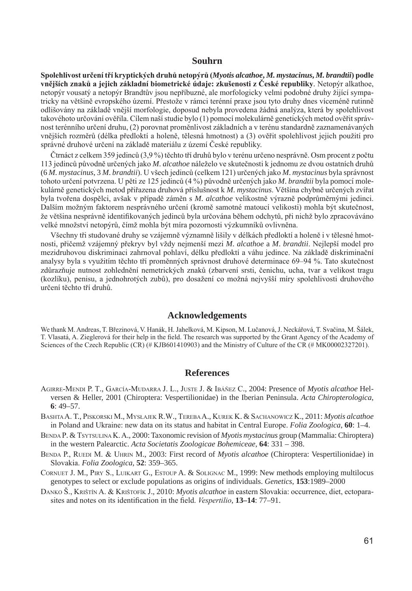## **Souhrn**

**Spolehlivost určení tří kryptických druhů netopýrů (***Myotis alcathoe***,** *M. mystacinus***,** *M. brandtii***) podle vnějších znaků a jejich základní biometrické údaje: zkušenosti z České republiky**. Netopýr alkathoe, netopýr vousatý a netopýr Brandtův jsou nepříbuzné, ale morfologicky velmi podobné druhy žijící sympatricky na většině evropského území. Přestože v rámci terénní praxe jsou tyto druhy dnes víceméně rutinně odlišovány na základě vnější morfologie, doposud nebyla provedena žádná analýza, která by spolehlivost takovéhoto určování ověřila. Cílem naší studie bylo (1) pomocí molekulárně genetických metod ověřit správnost terénního určení druhu, (2) porovnat proměnlivost základních a v terénu standardně zaznamenávaných vnějších rozměrů (délka předloktí a holeně, tělesná hmotnost) a (3) ověřit spolehlivost jejich použití pro správné druhové určení na základě materiálu z území České republiky.

Čtrnáct z celkem 359 jedinců (3,9 %) těchto tří druhů bylo v terénu určeno nesprávně. Osm procent z počtu 113 jedinců původně určených jako *M*. *alcathoe* náleželo ve skutečnosti k jednomu ze dvou ostatních druhů (6 *M*. *mystacinus*, 3 *M*. *brandtii*). U všech jedinců (celkem 121) určených jako *M*. *mystacinus* byla správnost tohoto určení potvrzena. U pěti ze 125 jedinců (4 %) původně určených jako *M*. *brandtii* byla pomocí molekulárně genetických metod přiřazena druhová příslušnost k *M*. *mystacinus*. Většina chybně určených zvířat byla tvořena dospělci, avšak v případě záměn s *M*. *alcathoe* velikostně výrazně podprůměrnými jedinci. Dalším možným faktorem nesprávného určení (kromě samotné matoucí velikosti) mohla být skutečnost, že většina nesprávně identifikovaných jedinců byla určována během odchytů, při nichž bylo zpracováváno velké množství netopýrů, čímž mohla být míra pozornosti výzkumníků ovlivněna.

Všechny tři studované druhy se vzájemně významně lišily v délkách předloktí a holeně i v tělesné hmotnosti, přičemž vzájemný překryv byl vždy nejmenší mezi *M*. *alcathoe* a *M*. *brandtii*. Nejlepší model pro mezidruhovou diskriminaci zahrnoval pohlaví, délku předloktí a váhu jedince. Na základě diskriminační analysy byla s využitím těchto tří proměnných správnost druhové determinace 69–94 %. Tato skutečnost zdůrazňuje nutnost zohlednění nemetrických znaků (zbarvení srsti, čenichu, ucha, tvar a velikost tragu (kozlíku), penisu, a jednohrotých zubů), pro dosažení co možná nejvyšší míry spolehlivosti druhového určení těchto tří druhů.

#### **Acknowledgements**

We thank M. Andreas, T. Březinová, V. Hanák, H. Jahelková, M. Kipson, M. Lučanová, J. Neckářová, T. Svačina, M. Šálek, T. Vlasatá, A. Zieglerová for their help in the field. The research was supported by the Grant Agency of the Academy of Sciences of the Czech Republic (CR) (# KJB601410903) and the Ministry of Culture of the CR (# MK00002327201).

#### **References**

- AgiRRe-Mendi P. t., garcía-MudARRA J. l., Juste J. & ibáñez c., 2004: Presence of *Myotis alcathoe* Helversen & Heller, 2001 (Chiroptera: Vespertilionidae) in the Iberian Peninsula. *Acta Chiropterologica*, **6**: 49–57.
- bAshtA A. T., PisKoRsKi M., Mysłajek R.W., teRebA A., KuReK K. & sAchAnoWicz K., 2011: *Myotis alcathoe*  in Poland and Ukraine: new data on its status and habitat in Central Europe. *Folia Zoologica*, **60**: 1–4.
- bendA P. & tsYtsulinA K. A., 2000: Taxonomic revision of *Myotis mystacinus* group (Mammalia: Chiroptera) in the western Palearctic. *Acta Societatis Zoologicae Bohemiceae*, **64**: 331 – 398.
- BENDA P., RUEDI M. & UHRIN M., 2003: First record of *Myotis alcathoe* (Chiroptera: Vespertilionidae) in Slovakia. *Folia Zoologica*, **52**: 359–365.
- CORNUET J. M., PIRY S., LUIKART G., ESTOUP A. & SOLIGNAC M., 1999: New methods employing multilocus genotypes to select or exclude populations as origins of individuals. *Genetics*, **153**:1989–2000
- DANKO Š., KRIŠTÍN A. & KRIŠTOFÍK J., 2010: *Myotis alcathoe* in eastern Slovakia: occurrence, diet, ectoparasites and notes on its identification in the field. *Vespertilio*, **13–14**: 77–91.